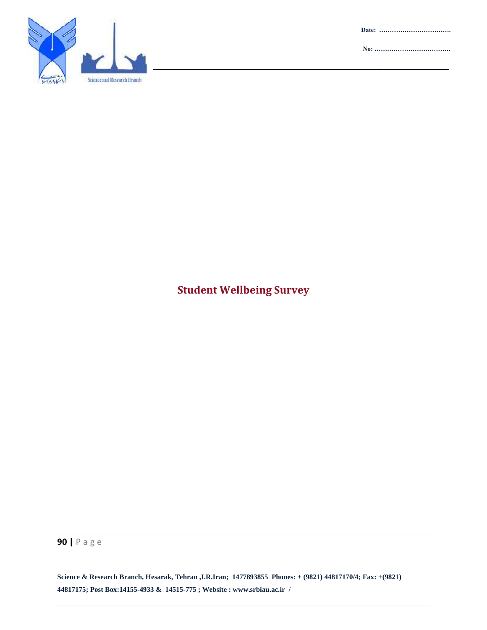Science and Research Branch

**Date: …………………………….**

**No: ………………………………**

**Attachment :……………………**

## **Student Wellbeing Survey**

**90 |** P a g e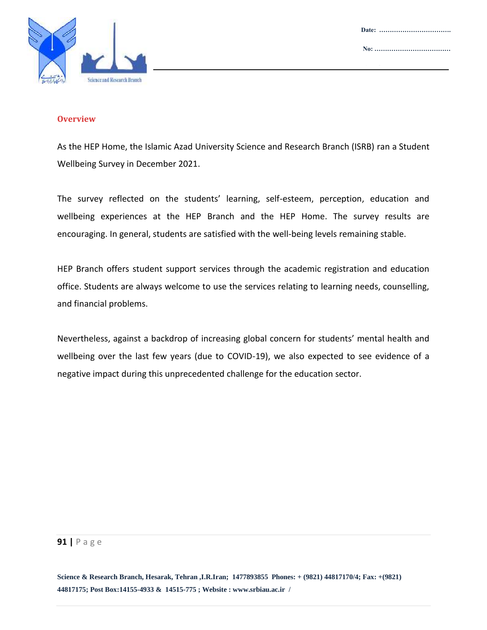



#### **Overview**

As the HEP Home, the Islamic Azad University Science and Research Branch (ISRB) ran a Student Wellbeing Survey in December 2021.

The survey reflected on the students' learning, self-esteem, perception, education and wellbeing experiences at the HEP Branch and the HEP Home. The survey results are encouraging. In general, students are satisfied with the well-being levels remaining stable.

HEP Branch offers student support services through the academic registration and education office. Students are always welcome to use the services relating to learning needs, counselling, and financial problems.

Nevertheless, against a backdrop of increasing global concern for students' mental health and wellbeing over the last few years (due to COVID-19), we also expected to see evidence of a negative impact during this unprecedented challenge for the education sector.

#### **91 |** P a g e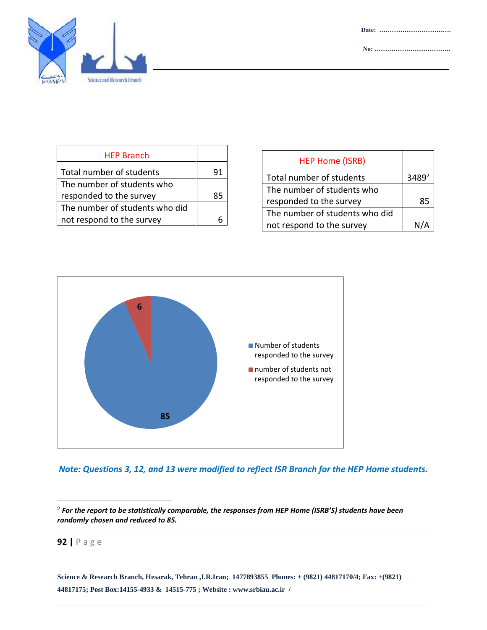

| <b>HEP Branch</b>              |    |
|--------------------------------|----|
| Total number of students       | 91 |
| The number of students who     |    |
| responded to the survey        | 85 |
| The number of students who did |    |
| not respond to the survey      |    |

| <b>HEP Home (ISRB)</b>         |      |
|--------------------------------|------|
| Total number of students       | 3489 |
| The number of students who     |      |
| responded to the survey        | 85   |
| The number of students who did |      |
| not respond to the survey      |      |





 2 *For the report to be statistically comparable, the responses from HEP Home (ISRB'S) students have been randomly chosen and reduced to 85.* 

**92 |** P a g e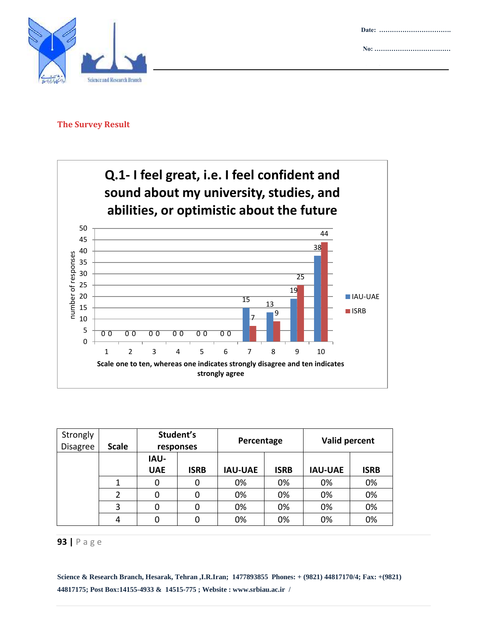



#### **The Survey Result**



| Strongly<br><b>Disagree</b> | <b>Scale</b> | Student's<br>responses    |             | Percentage     |      | Valid percent  |             |
|-----------------------------|--------------|---------------------------|-------------|----------------|------|----------------|-------------|
|                             |              | <b>IAU-</b><br><b>UAE</b> | <b>ISRB</b> | <b>IAU-UAE</b> | ISRB | <b>IAU-UAE</b> | <b>ISRB</b> |
|                             |              | 0                         | 0           | 0%             | 0%   | 0%             | 0%          |
|                             | 2            | 0                         | 0           | 0%             | 0%   | 0%             | 0%          |
|                             | 3            | 0                         | 0           | 0%             | 0%   | 0%             | 0%          |
|                             | 4            | 0                         |             | 0%             | 0%   | 0%             | 0%          |

#### **93 |** P a g e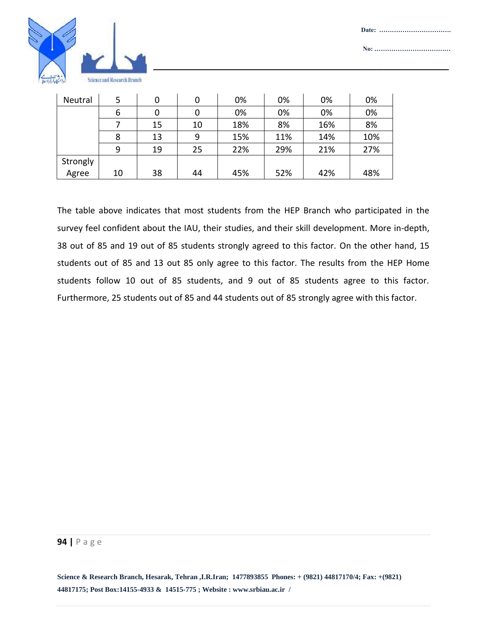



| Neutral  | 5  | 0  | 0  | 0%  | 0%  | 0%  | 0%  |
|----------|----|----|----|-----|-----|-----|-----|
|          | 6  | 0  |    | 0%  | 0%  | 0%  | 0%  |
|          |    | 15 | 10 | 18% | 8%  | 16% | 8%  |
|          | 8  | 13 | 9  | 15% | 11% | 14% | 10% |
|          | 9  | 19 | 25 | 22% | 29% | 21% | 27% |
| Strongly |    |    |    |     |     |     |     |
| Agree    | 10 | 38 | 44 | 45% | 52% | 42% | 48% |

The table above indicates that most students from the HEP Branch who participated in the survey feel confident about the IAU, their studies, and their skill development. More in-depth, 38 out of 85 and 19 out of 85 students strongly agreed to this factor. On the other hand, 15 students out of 85 and 13 out 85 only agree to this factor. The results from the HEP Home students follow 10 out of 85 students, and 9 out of 85 students agree to this factor. Furthermore, 25 students out of 85 and 44 students out of 85 strongly agree with this factor.

#### **94 |** P a g e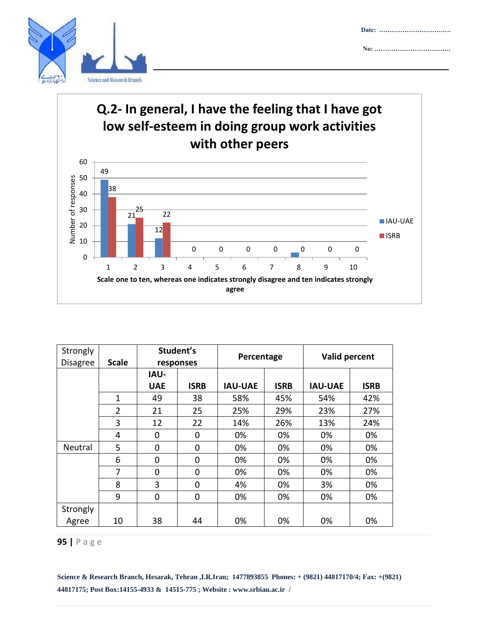



**Date: …………………………….**

**No: ………………………………**

**Attachment :……………………**

| Strongly<br><b>Disagree</b> | <b>Scale</b>   | Student's<br>responses |             | Percentage     |             | Valid percent  |             |
|-----------------------------|----------------|------------------------|-------------|----------------|-------------|----------------|-------------|
|                             |                | <b>IAU-</b>            |             |                |             |                |             |
|                             |                | <b>UAE</b>             | <b>ISRB</b> | <b>IAU-UAE</b> | <b>ISRB</b> | <b>IAU-UAE</b> | <b>ISRB</b> |
|                             | 1              | 49                     | 38          | 58%            | 45%         | 54%            | 42%         |
|                             | $\overline{2}$ | 21                     | 25          | 25%            | 29%         | 23%            | 27%         |
|                             | 3              | 12                     | 22          | 14%            | 26%         | 13%            | 24%         |
|                             | 4              | 0                      | 0           | 0%             | 0%          | 0%             | 0%          |
| Neutral                     | 5              | 0                      | 0           | 0%             | 0%          | 0%             | 0%          |
|                             | 6              | 0                      | 0           | 0%             | 0%          | 0%             | 0%          |
|                             | 7              | 0                      | 0           | 0%             | 0%          | 0%             | 0%          |
|                             | 8              | 3                      | 0           | 4%             | 0%          | 3%             | 0%          |
|                             | 9              | 0                      | 0           | 0%             | 0%          | 0%             | 0%          |
| Strongly                    |                |                        |             |                |             |                |             |
| Agree                       | 10             | 38                     | 44          | 0%             | 0%          | 0%             | 0%          |

#### **95 |** P a g e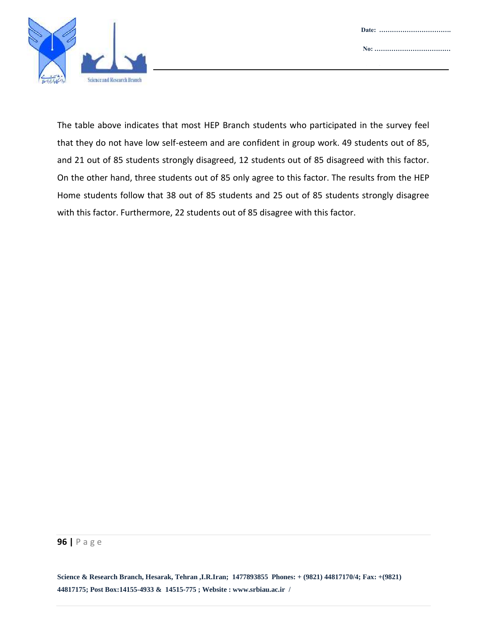

The table above indicates that most HEP Branch students who participated in the survey feel that they do not have low self-esteem and are confident in group work. 49 students out of 85, and 21 out of 85 students strongly disagreed, 12 students out of 85 disagreed with this factor. On the other hand, three students out of 85 only agree to this factor. The results from the HEP Home students follow that 38 out of 85 students and 25 out of 85 students strongly disagree with this factor. Furthermore, 22 students out of 85 disagree with this factor.

#### **96 |** P a g e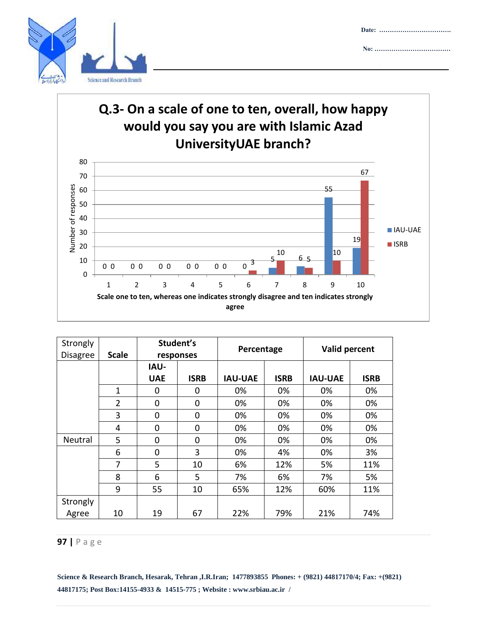

## **Q.3- On a scale of one to ten, overall, how happy would you say you are with Islamic Azad UniversityUAE branch?**

**Date: …………………………….**

**Attachment :……………………**

**No: ………………………………**



| Strongly<br><b>Disagree</b> | <b>Scale</b>   | Student's<br>responses |             | Percentage     |             | Valid percent  |             |
|-----------------------------|----------------|------------------------|-------------|----------------|-------------|----------------|-------------|
|                             |                | <b>IAU-</b>            |             |                |             |                |             |
|                             |                | <b>UAE</b>             | <b>ISRB</b> | <b>IAU-UAE</b> | <b>ISRB</b> | <b>IAU-UAE</b> | <b>ISRB</b> |
|                             | 1              | 0                      | 0           | 0%             | 0%          | 0%             | 0%          |
|                             | $\overline{2}$ | 0                      | 0           | 0%             | 0%          | 0%             | 0%          |
|                             | 3              | 0                      | 0           | 0%             | 0%          | 0%             | 0%          |
|                             | 4              | 0                      | 0           | 0%             | 0%          | 0%             | 0%          |
| Neutral                     | 5              | 0                      | 0           | 0%             | 0%          | 0%             | 0%          |
|                             | 6              | 0                      | 3           | 0%             | 4%          | 0%             | 3%          |
|                             | 7              | 5                      | 10          | 6%             | 12%         | 5%             | 11%         |
|                             | 8              | 6                      | 5           | 7%             | 6%          | 7%             | 5%          |
|                             | 9              | 55                     | 10          | 65%            | 12%         | 60%            | 11%         |
| Strongly                    |                |                        |             |                |             |                |             |
| Agree                       | 10             | 19                     | 67          | 22%            | 79%         | 21%            | 74%         |

#### **97 |** P a g e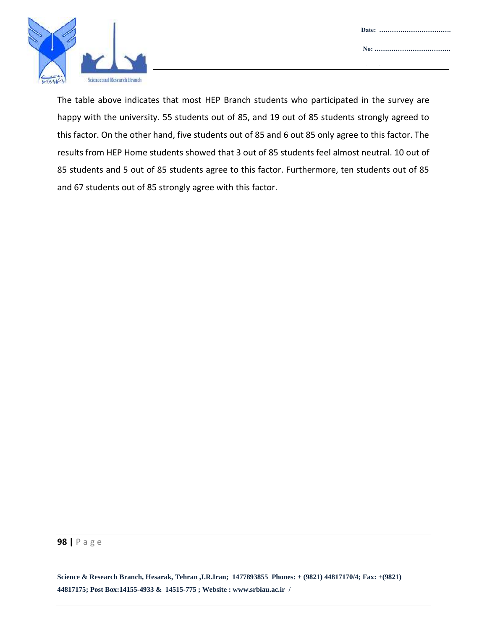

The table above indicates that most HEP Branch students who participated in the survey are happy with the university. 55 students out of 85, and 19 out of 85 students strongly agreed to this factor. On the other hand, five students out of 85 and 6 out 85 only agree to this factor. The results from HEP Home students showed that 3 out of 85 students feel almost neutral. 10 out of 85 students and 5 out of 85 students agree to this factor. Furthermore, ten students out of 85 and 67 students out of 85 strongly agree with this factor.

#### **98 |** P a g e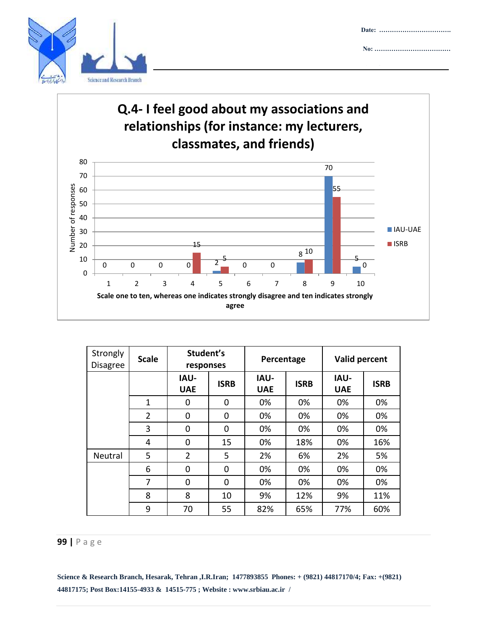

## **Q.4- I feel good about my associations and relationships (for instance: my lecturers, classmates, and friends)**

**Date: …………………………….**

**No: ………………………………**

**Attachment :……………………**



| Strongly<br><b>Disagree</b> | <b>Scale</b>   | Student's<br>responses    |             | Percentage                |             | Valid percent             |             |
|-----------------------------|----------------|---------------------------|-------------|---------------------------|-------------|---------------------------|-------------|
|                             |                | <b>IAU-</b><br><b>UAE</b> | <b>ISRB</b> | <b>IAU-</b><br><b>UAE</b> | <b>ISRB</b> | <b>IAU-</b><br><b>UAE</b> | <b>ISRB</b> |
|                             | $\mathbf{1}$   | 0                         | $\Omega$    | 0%                        | 0%          | 0%                        | 0%          |
|                             | $\overline{2}$ | 0                         | $\Omega$    | 0%                        | 0%          | 0%                        | 0%          |
|                             | 3              | 0                         | $\Omega$    | 0%                        | 0%          | 0%                        | 0%          |
|                             | 4              | 0                         | 15          | 0%                        | 18%         | 0%                        | 16%         |
| <b>Neutral</b>              | 5              | $\overline{2}$            | 5           | 2%                        | 6%          | 2%                        | 5%          |
|                             | 6              | 0                         | $\Omega$    | 0%                        | 0%          | 0%                        | 0%          |
|                             | 7              | 0                         | $\Omega$    | 0%                        | 0%          | 0%                        | 0%          |
|                             | 8              | 8                         | 10          | 9%                        | 12%         | 9%                        | 11%         |
|                             | 9              | 70                        | 55          | 82%                       | 65%         | 77%                       | 60%         |

#### **99 |** P a g e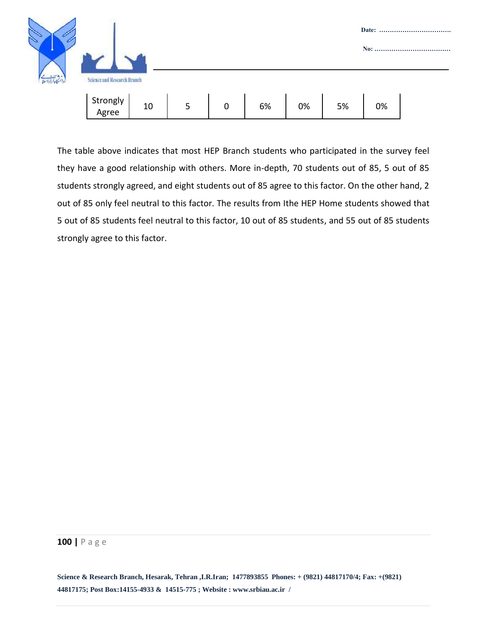

The table above indicates that most HEP Branch students who participated in the survey feel they have a good relationship with others. More in-depth, 70 students out of 85, 5 out of 85 students strongly agreed, and eight students out of 85 agree to this factor. On the other hand, 2 out of 85 only feel neutral to this factor. The results from Ithe HEP Home students showed that 5 out of 85 students feel neutral to this factor, 10 out of 85 students, and 55 out of 85 students strongly agree to this factor.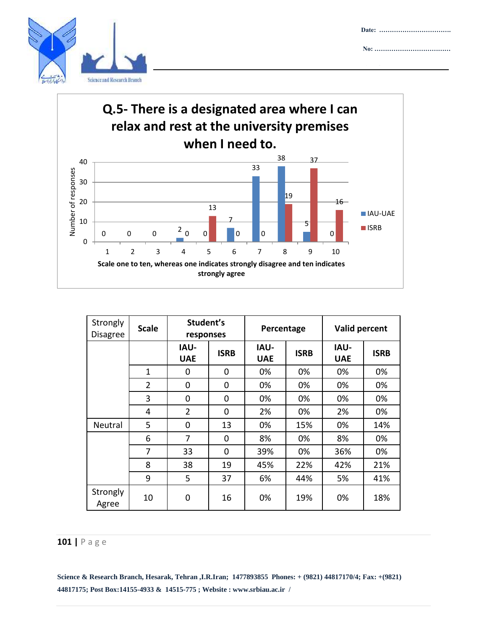





| Strongly<br><b>Disagree</b> | <b>Scale</b>   | Student's<br>responses    |             | Percentage                |             | Valid percent             |             |
|-----------------------------|----------------|---------------------------|-------------|---------------------------|-------------|---------------------------|-------------|
|                             |                | <b>IAU-</b><br><b>UAE</b> | <b>ISRB</b> | <b>IAU-</b><br><b>UAE</b> | <b>ISRB</b> | <b>IAU-</b><br><b>UAE</b> | <b>ISRB</b> |
|                             | 1              | 0                         | $\Omega$    | 0%                        | 0%          | 0%                        | 0%          |
|                             | $\overline{2}$ | 0                         | $\Omega$    | 0%                        | 0%          | 0%                        | 0%          |
|                             | 3              | 0                         | $\Omega$    | 0%                        | 0%          | 0%                        | 0%          |
|                             | 4              | $\overline{2}$            | 0           | 2%                        | 0%          | 2%                        | 0%          |
| Neutral                     | 5              | 0                         | 13          | 0%                        | 15%         | 0%                        | 14%         |
|                             | 6              | 7                         | 0           | 8%                        | 0%          | 8%                        | 0%          |
|                             | 7              | 33                        | 0           | 39%                       | 0%          | 36%                       | 0%          |
|                             | 8              | 38                        | 19          | 45%                       | 22%         | 42%                       | 21%         |
|                             | 9              | 5                         | 37          | 6%                        | 44%         | 5%                        | 41%         |
| Strongly<br>Agree           | 10             | 0                         | 16          | 0%                        | 19%         | 0%                        | 18%         |

## **101 |** P a g e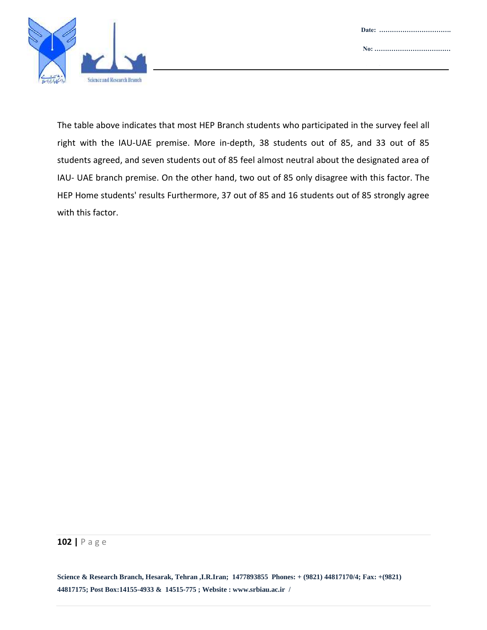

The table above indicates that most HEP Branch students who participated in the survey feel all right with the IAU-UAE premise. More in-depth, 38 students out of 85, and 33 out of 85 students agreed, and seven students out of 85 feel almost neutral about the designated area of IAU- UAE branch premise. On the other hand, two out of 85 only disagree with this factor. The HEP Home students' results Furthermore, 37 out of 85 and 16 students out of 85 strongly agree with this factor.

#### **102 |** P a g e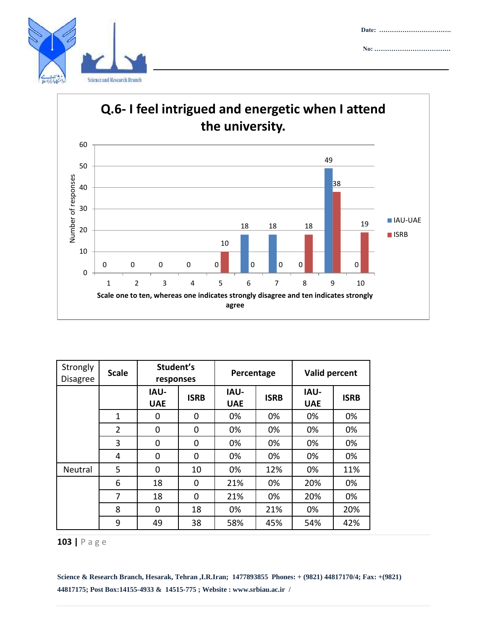

**Date: ……………………………. No: ………………………………**

**Attachment :……………………**



| Strongly<br><b>Disagree</b> | <b>Scale</b>   | Student's<br>responses    |             | Percentage                |             | Valid percent             |             |
|-----------------------------|----------------|---------------------------|-------------|---------------------------|-------------|---------------------------|-------------|
|                             |                | <b>IAU-</b><br><b>UAE</b> | <b>ISRB</b> | <b>IAU-</b><br><b>UAE</b> | <b>ISRB</b> | <b>IAU-</b><br><b>UAE</b> | <b>ISRB</b> |
|                             | 1              | 0                         | 0           | 0%                        | 0%          | 0%                        | 0%          |
|                             | $\overline{2}$ | 0                         | 0           | 0%                        | 0%          | 0%                        | 0%          |
|                             | 3              | 0                         | 0           | 0%                        | 0%          | 0%                        | 0%          |
|                             | 4              | 0                         | 0           | 0%                        | 0%          | 0%                        | 0%          |
| Neutral                     | 5              | 0                         | 10          | 0%                        | 12%         | 0%                        | 11%         |
|                             | 6              | 18                        | 0           | 21%                       | 0%          | 20%                       | 0%          |
|                             | 7              | 18                        | 0           | 21%                       | 0%          | 20%                       | 0%          |
|                             | 8              | 0                         | 18          | 0%                        | 21%         | 0%                        | 20%         |
|                             | 9              | 49                        | 38          | 58%                       | 45%         | 54%                       | 42%         |

**103 |** P a g e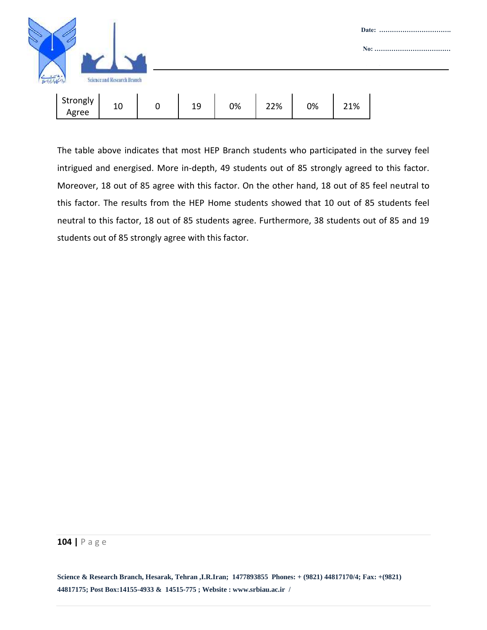

The table above indicates that most HEP Branch students who participated in the survey feel intrigued and energised. More in-depth, 49 students out of 85 strongly agreed to this factor. Moreover, 18 out of 85 agree with this factor. On the other hand, 18 out of 85 feel neutral to this factor. The results from the HEP Home students showed that 10 out of 85 students feel neutral to this factor, 18 out of 85 students agree. Furthermore, 38 students out of 85 and 19 students out of 85 strongly agree with this factor.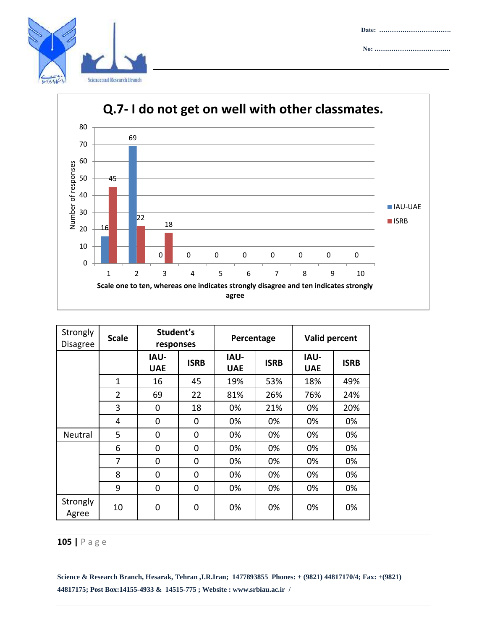



| Strongly<br><b>Disagree</b> | <b>Scale</b>   | Student's<br>responses    |             | Percentage                |             | Valid percent             |             |
|-----------------------------|----------------|---------------------------|-------------|---------------------------|-------------|---------------------------|-------------|
|                             |                | <b>IAU-</b><br><b>UAE</b> | <b>ISRB</b> | <b>IAU-</b><br><b>UAE</b> | <b>ISRB</b> | <b>IAU-</b><br><b>UAE</b> | <b>ISRB</b> |
|                             | 1              | 16                        | 45          | 19%                       | 53%         | 18%                       | 49%         |
|                             | $\overline{2}$ | 69                        | 22          | 81%                       | 26%         | 76%                       | 24%         |
|                             | 3              | 0                         | 18          | 0%                        | 21%         | 0%                        | 20%         |
|                             | 4              | 0                         | 0           | 0%                        | 0%          | 0%                        | 0%          |
| Neutral                     | 5              | 0                         | 0           | 0%                        | 0%          | 0%                        | 0%          |
|                             | 6              | 0                         | $\mathbf 0$ | 0%                        | 0%          | 0%                        | 0%          |
|                             | 7              | 0                         | 0           | 0%                        | 0%          | 0%                        | 0%          |
|                             | 8              | 0                         | 0           | 0%                        | 0%          | 0%                        | 0%          |
|                             | 9              | 0                         | $\mathbf 0$ | 0%                        | 0%          | 0%                        | 0%          |
| Strongly<br>Agree           | 10             | 0                         | 0           | 0%                        | 0%          | 0%                        | 0%          |

## **105 |** P a g e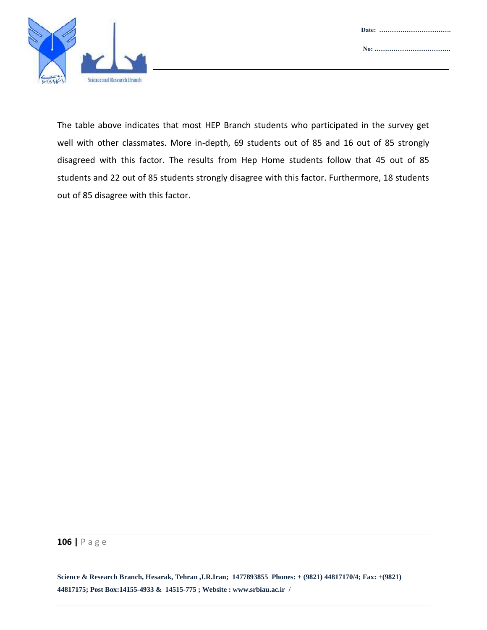

The table above indicates that most HEP Branch students who participated in the survey get well with other classmates. More in-depth, 69 students out of 85 and 16 out of 85 strongly disagreed with this factor. The results from Hep Home students follow that 45 out of 85 students and 22 out of 85 students strongly disagree with this factor. Furthermore, 18 students out of 85 disagree with this factor.

#### **106 |** P a g e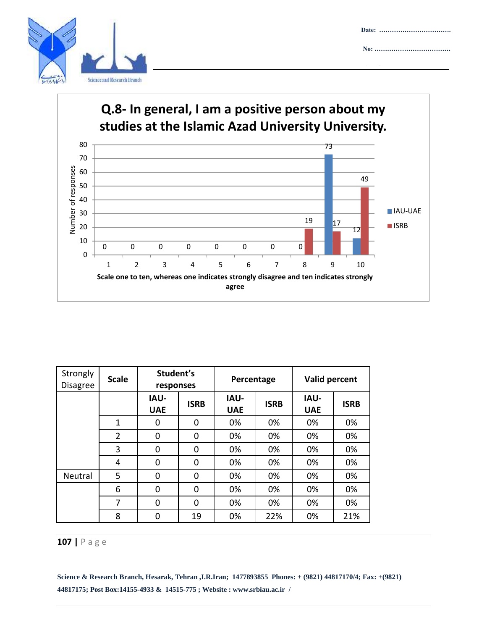

# 73 80 **Q.8- In general, I am a positive person about my studies at the Islamic Azad University University.**



| Strongly<br><b>Disagree</b> | <b>Scale</b>   | Student's<br>responses    |             | Percentage                |             | Valid percent             |             |
|-----------------------------|----------------|---------------------------|-------------|---------------------------|-------------|---------------------------|-------------|
|                             |                | <b>IAU-</b><br><b>UAE</b> | <b>ISRB</b> | <b>IAU-</b><br><b>UAE</b> | <b>ISRB</b> | <b>IAU-</b><br><b>UAE</b> | <b>ISRB</b> |
|                             | $\mathbf{1}$   | 0                         | $\Omega$    | 0%                        | 0%          | 0%                        | 0%          |
|                             | $\overline{2}$ | 0                         | $\mathbf 0$ | 0%                        | 0%          | 0%                        | 0%          |
|                             | 3              | 0                         | $\Omega$    | 0%                        | 0%          | 0%                        | 0%          |
|                             | 4              | 0                         | $\Omega$    | 0%                        | 0%          | 0%                        | 0%          |
| Neutral                     | 5              | 0                         | $\mathbf 0$ | 0%                        | 0%          | 0%                        | 0%          |
|                             | 6              | 0                         | $\Omega$    | 0%                        | 0%          | 0%                        | 0%          |
|                             | 7              | 0                         | $\Omega$    | 0%                        | 0%          | 0%                        | 0%          |
|                             | 8              | 0                         | 19          | 0%                        | 22%         | 0%                        | 21%         |

## **107 |** P a g e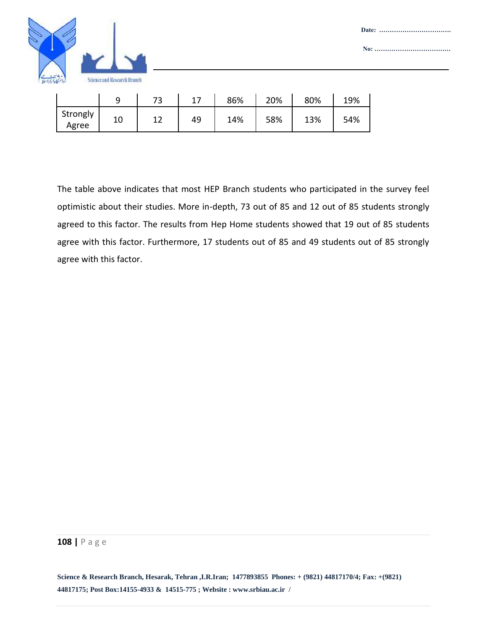

|                   |    | רד<br>ັ   |    | 86% | 20% | 80% | 19% |
|-------------------|----|-----------|----|-----|-----|-----|-----|
| Strongly<br>Agree | 10 | 1 ^<br>∸∸ | 49 | 14% | 58% | 13% | 54% |

The table above indicates that most HEP Branch students who participated in the survey feel optimistic about their studies. More in-depth, 73 out of 85 and 12 out of 85 students strongly agreed to this factor. The results from Hep Home students showed that 19 out of 85 students agree with this factor. Furthermore, 17 students out of 85 and 49 students out of 85 strongly agree with this factor.

#### **108 |** P a g e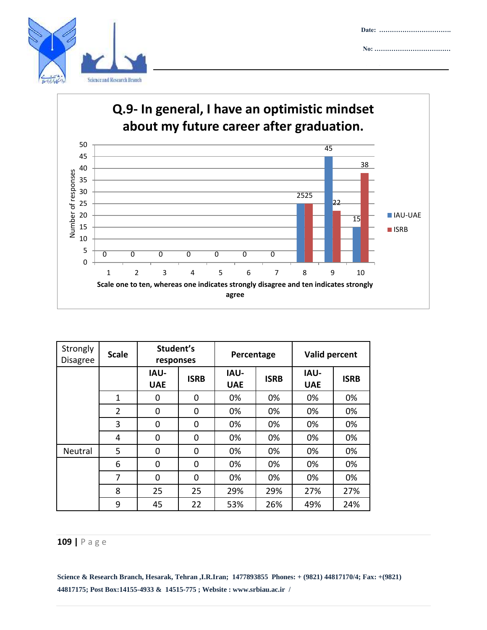

#### **Q.9- In general, I have an optimistic mindset about my future career after graduation.** 50 45 45 38 40 Number of responses Number of responses 35 30 25 25 25 22 IAU-UAE 20 15 15 **ISRB** 10 5 0 0 0 0 0 0 0 0 1 2 3 4 5 6 7 8 9 10 **Scale one to ten, whereas one indicates strongly disagree and ten indicates strongly agree**

| Strongly<br><b>Disagree</b> | <b>Scale</b>   | Student's<br>responses |             | Percentage                |             | Valid percent             |             |
|-----------------------------|----------------|------------------------|-------------|---------------------------|-------------|---------------------------|-------------|
|                             |                | IAU-<br><b>UAE</b>     | <b>ISRB</b> | <b>IAU-</b><br><b>UAE</b> | <b>ISRB</b> | <b>IAU-</b><br><b>UAE</b> | <b>ISRB</b> |
|                             | $\mathbf{1}$   | 0                      | 0           | 0%                        | 0%          | 0%                        | 0%          |
|                             | $\overline{2}$ | 0                      | 0           | 0%                        | 0%          | 0%                        | 0%          |
|                             | 3              | 0                      | 0           | 0%                        | 0%          | 0%                        | 0%          |
|                             | 4              | 0                      | 0           | 0%                        | 0%          | 0%                        | 0%          |
| Neutral                     | 5              | 0                      | 0           | 0%                        | 0%          | 0%                        | 0%          |
|                             | 6              | 0                      | 0           | 0%                        | 0%          | 0%                        | 0%          |
|                             | 7              | $\Omega$               | $\Omega$    | 0%                        | 0%          | 0%                        | 0%          |
|                             | 8              | 25                     | 25          | 29%                       | 29%         | 27%                       | 27%         |
|                             | 9              | 45                     | 22          | 53%                       | 26%         | 49%                       | 24%         |

### **109 |** P a g e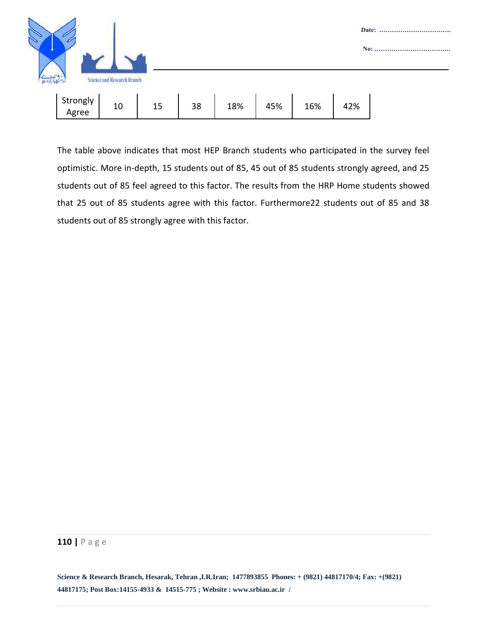

The table above indicates that most HEP Branch students who participated in the survey feel optimistic. More in-depth, 15 students out of 85, 45 out of 85 students strongly agreed, and 25 students out of 85 feel agreed to this factor. The results from the HRP Home students showed that 25 out of 85 students agree with this factor. Furthermore22 students out of 85 and 38 students out of 85 strongly agree with this factor.

#### **110 |** P a g e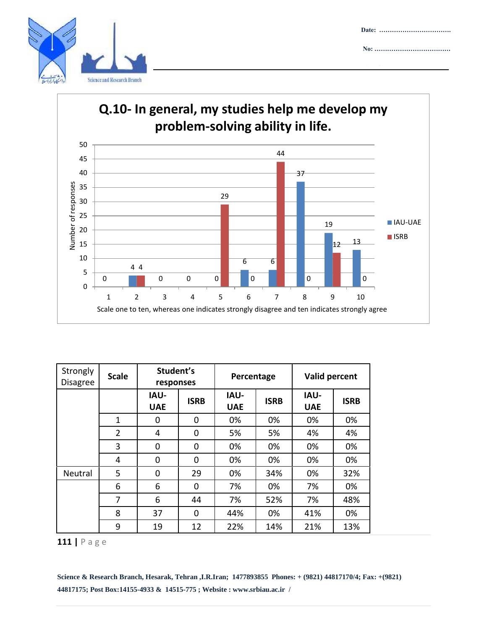





| Strongly<br><b>Disagree</b> | <b>Scale</b>   | Student's<br>responses    |             | Percentage                |             | Valid percent             |             |
|-----------------------------|----------------|---------------------------|-------------|---------------------------|-------------|---------------------------|-------------|
|                             |                | <b>IAU-</b><br><b>UAE</b> | <b>ISRB</b> | <b>IAU-</b><br><b>UAE</b> | <b>ISRB</b> | <b>IAU-</b><br><b>UAE</b> | <b>ISRB</b> |
|                             | 1              | 0                         | 0           | 0%                        | 0%          | 0%                        | 0%          |
|                             | $\overline{2}$ | 4                         | 0           | 5%                        | 5%          | 4%                        | 4%          |
|                             | 3              | 0                         | 0           | 0%                        | 0%          | 0%                        | 0%          |
|                             | 4              | 0                         | 0           | 0%                        | 0%          | 0%                        | 0%          |
| Neutral                     | 5              | 0                         | 29          | 0%                        | 34%         | 0%                        | 32%         |
|                             | 6              | 6                         | 0           | 7%                        | 0%          | 7%                        | 0%          |
|                             | 7              | 6                         | 44          | 7%                        | 52%         | 7%                        | 48%         |
|                             | 8              | 37                        | 0           | 44%                       | 0%          | 41%                       | 0%          |
|                             | 9              | 19                        | 12          | 22%                       | 14%         | 21%                       | 13%         |

**|** P a g e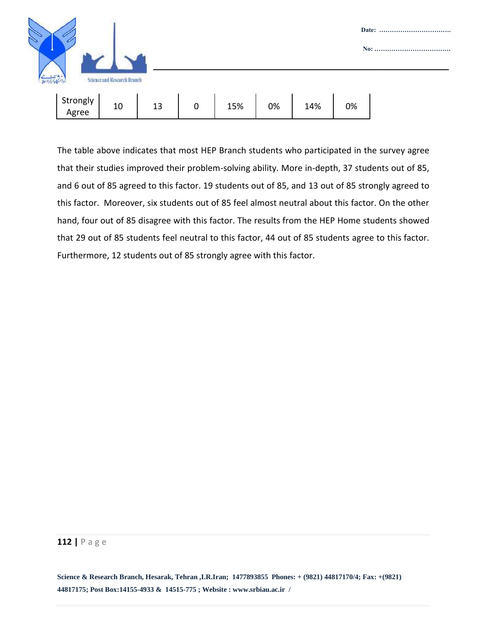

The table above indicates that most HEP Branch students who participated in the survey agree that their studies improved their problem-solving ability. More in-depth, 37 students out of 85, and 6 out of 85 agreed to this factor. 19 students out of 85, and 13 out of 85 strongly agreed to this factor. Moreover, six students out of 85 feel almost neutral about this factor. On the other hand, four out of 85 disagree with this factor. The results from the HEP Home students showed that 29 out of 85 students feel neutral to this factor, 44 out of 85 students agree to this factor. Furthermore, 12 students out of 85 strongly agree with this factor.

#### **112 |** P a g e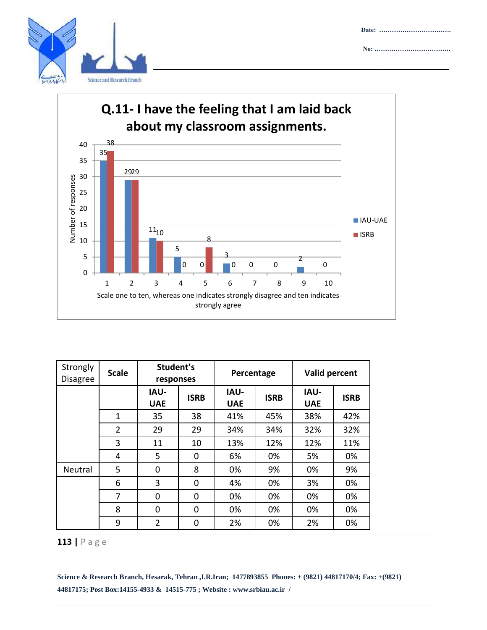





| Strongly<br><b>Disagree</b> | <b>Scale</b>   | Student's<br>responses    |             | Percentage                |             | Valid percent             |             |
|-----------------------------|----------------|---------------------------|-------------|---------------------------|-------------|---------------------------|-------------|
|                             |                | <b>IAU-</b><br><b>UAE</b> | <b>ISRB</b> | <b>IAU-</b><br><b>UAE</b> | <b>ISRB</b> | <b>IAU-</b><br><b>UAE</b> | <b>ISRB</b> |
|                             | $\mathbf{1}$   | 35                        | 38          | 41%                       | 45%         | 38%                       | 42%         |
|                             | $\overline{2}$ | 29                        | 29          | 34%                       | 34%         | 32%                       | 32%         |
|                             | 3              | 11                        | 10          | 13%                       | 12%         | 12%                       | 11%         |
|                             | 4              | 5                         | 0           | 6%                        | 0%          | 5%                        | 0%          |
| Neutral                     | 5              | $\Omega$                  | 8           | 0%                        | 9%          | 0%                        | 9%          |
|                             | 6              | 3                         | 0           | 4%                        | 0%          | 3%                        | 0%          |
|                             | 7              | 0                         | 0           | 0%                        | 0%          | 0%                        | 0%          |
|                             | 8              | 0                         | 0           | 0%                        | 0%          | 0%                        | 0%          |
|                             | 9              | $\overline{2}$            | 0           | 2%                        | 0%          | 2%                        | 0%          |

**|** P a g e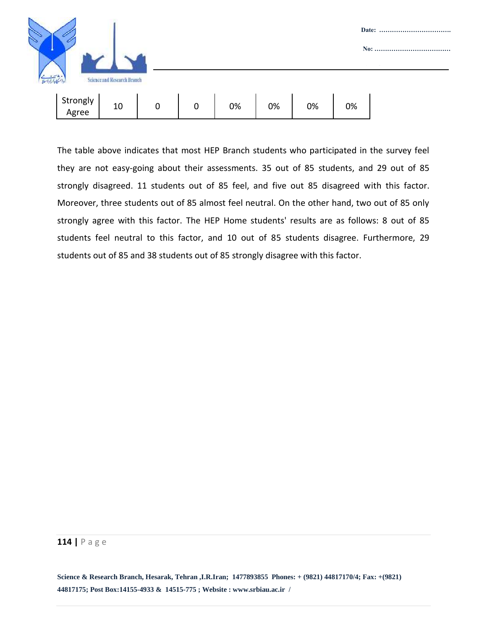

The table above indicates that most HEP Branch students who participated in the survey feel they are not easy-going about their assessments. 35 out of 85 students, and 29 out of 85 strongly disagreed. 11 students out of 85 feel, and five out 85 disagreed with this factor. Moreover, three students out of 85 almost feel neutral. On the other hand, two out of 85 only strongly agree with this factor. The HEP Home students' results are as follows: 8 out of 85 students feel neutral to this factor, and 10 out of 85 students disagree. Furthermore, 29 students out of 85 and 38 students out of 85 strongly disagree with this factor.

#### **114 |** P a g e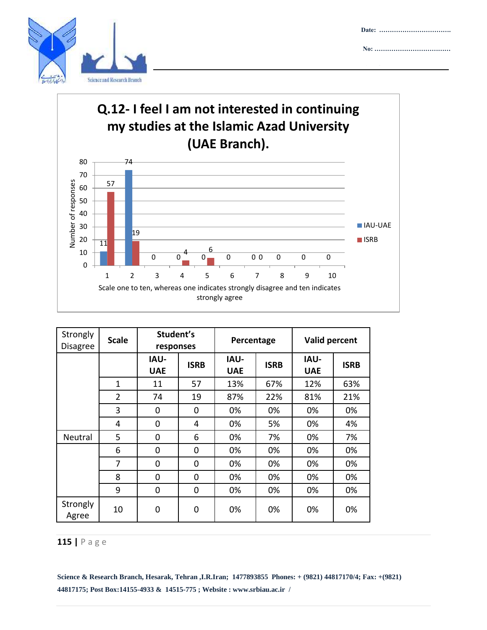





| Strongly<br><b>Disagree</b> | <b>Scale</b>   | Student's<br>responses    |             | Percentage                |             | Valid percent             |             |
|-----------------------------|----------------|---------------------------|-------------|---------------------------|-------------|---------------------------|-------------|
|                             |                | <b>IAU-</b><br><b>UAE</b> | <b>ISRB</b> | <b>IAU-</b><br><b>UAE</b> | <b>ISRB</b> | <b>IAU-</b><br><b>UAE</b> | <b>ISRB</b> |
|                             | $\mathbf{1}$   | 11                        | 57          | 13%                       | 67%         | 12%                       | 63%         |
|                             | $\overline{2}$ | 74                        | 19          | 87%                       | 22%         | 81%                       | 21%         |
|                             | 3              | 0                         | 0           | 0%                        | 0%          | 0%                        | 0%          |
|                             | 4              | 0                         | 4           | 0%                        | 5%          | 0%                        | 4%          |
| Neutral                     | 5              | 0                         | 6           | 0%                        | 7%          | 0%                        | 7%          |
|                             | 6              | 0                         | 0           | 0%                        | 0%          | 0%                        | 0%          |
|                             | 7              | 0                         | 0           | 0%                        | 0%          | 0%                        | 0%          |
|                             | 8              | $\mathbf 0$               | 0           | 0%                        | 0%          | 0%                        | 0%          |
|                             | 9              | 0                         | 0           | 0%                        | 0%          | 0%                        | 0%          |
| Strongly<br>Agree           | 10             | 0                         | 0           | 0%                        | 0%          | 0%                        | 0%          |

## **115 |** P a g e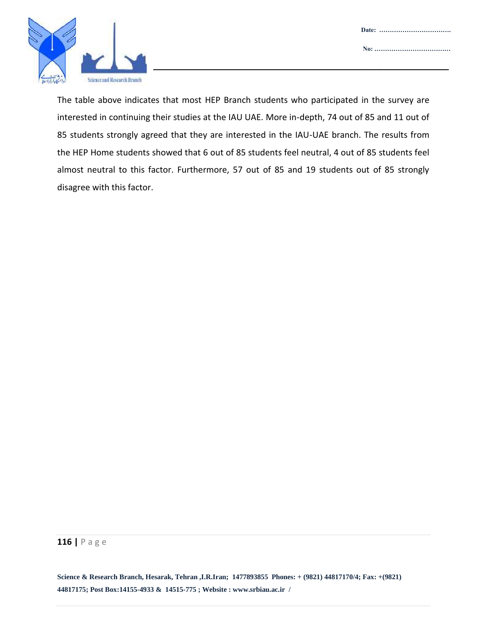



The table above indicates that most HEP Branch students who participated in the survey are interested in continuing their studies at the IAU UAE. More in-depth, 74 out of 85 and 11 out of 85 students strongly agreed that they are interested in the IAU-UAE branch. The results from the HEP Home students showed that 6 out of 85 students feel neutral, 4 out of 85 students feel almost neutral to this factor. Furthermore, 57 out of 85 and 19 students out of 85 strongly disagree with this factor.

#### **116 |** P a g e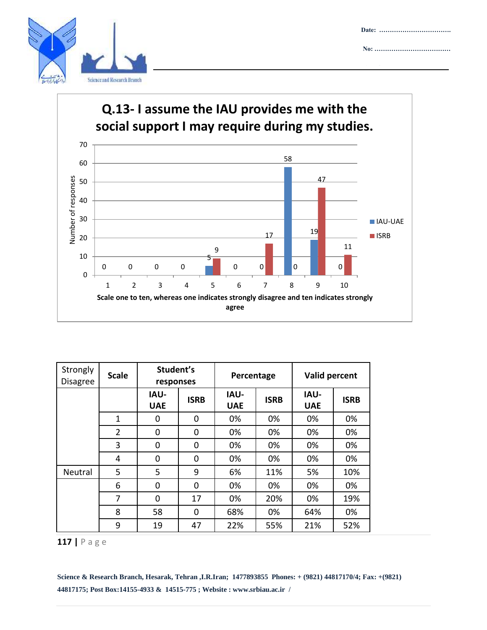



| Strongly<br><b>Disagree</b> | <b>Scale</b>   | Student's<br>responses |             | Percentage                |             | Valid percent      |             |
|-----------------------------|----------------|------------------------|-------------|---------------------------|-------------|--------------------|-------------|
|                             |                | IAU-<br><b>UAE</b>     | <b>ISRB</b> | <b>IAU-</b><br><b>UAE</b> | <b>ISRB</b> | IAU-<br><b>UAE</b> | <b>ISRB</b> |
|                             | $\mathbf{1}$   | 0                      | 0           | 0%                        | 0%          | 0%                 | 0%          |
|                             | $\overline{2}$ | 0                      | 0           | 0%                        | 0%          | 0%                 | 0%          |
|                             | 3              | 0                      | 0           | 0%                        | 0%          | 0%                 | 0%          |
|                             | 4              | 0                      | 0           | 0%                        | 0%          | 0%                 | 0%          |
| Neutral                     | 5              | 5                      | 9           | 6%                        | 11%         | 5%                 | 10%         |
|                             | 6              | 0                      | 0           | 0%                        | 0%          | 0%                 | 0%          |
|                             | 7              | $\Omega$               | 17          | 0%                        | 20%         | 0%                 | 19%         |
|                             | 8              | 58                     | 0           | 68%                       | 0%          | 64%                | 0%          |
|                             | 9              | 19                     | 47          | 22%                       | 55%         | 21%                | 52%         |

**117 |** P a g e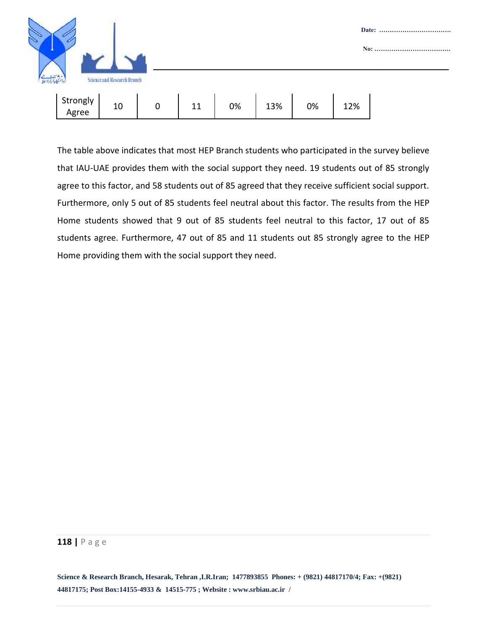

The table above indicates that most HEP Branch students who participated in the survey believe that IAU-UAE provides them with the social support they need. 19 students out of 85 strongly agree to this factor, and 58 students out of 85 agreed that they receive sufficient social support. Furthermore, only 5 out of 85 students feel neutral about this factor. The results from the HEP Home students showed that 9 out of 85 students feel neutral to this factor, 17 out of 85 students agree. Furthermore, 47 out of 85 and 11 students out 85 strongly agree to the HEP Home providing them with the social support they need.

#### **118 |** P a g e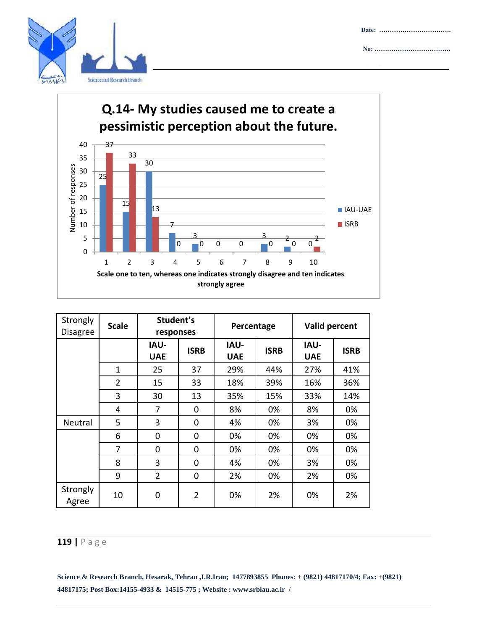





| Strongly<br><b>Disagree</b> | <b>Scale</b>   | Student's<br>responses    |                | Percentage                |             | Valid percent             |             |
|-----------------------------|----------------|---------------------------|----------------|---------------------------|-------------|---------------------------|-------------|
|                             |                | <b>IAU-</b><br><b>UAE</b> | <b>ISRB</b>    | <b>IAU-</b><br><b>UAE</b> | <b>ISRB</b> | <b>IAU-</b><br><b>UAE</b> | <b>ISRB</b> |
|                             | $\mathbf{1}$   | 25                        | 37             | 29%                       | 44%         | 27%                       | 41%         |
|                             | $\overline{2}$ | 15                        | 33             | 18%                       | 39%         | 16%                       | 36%         |
|                             | 3              | 30                        | 13             | 35%                       | 15%         | 33%                       | 14%         |
|                             | 4              | 7                         | 0              | 8%                        | 0%          | 8%                        | 0%          |
| Neutral                     | 5              | 3                         | 0              | 4%                        | 0%          | 3%                        | 0%          |
|                             | 6              | 0                         | $\mathbf 0$    | 0%                        | 0%          | 0%                        | 0%          |
|                             | 7              | 0                         | 0              | 0%                        | 0%          | 0%                        | 0%          |
|                             | 8              | 3                         | $\mathbf 0$    | 4%                        | 0%          | 3%                        | 0%          |
|                             | 9              | $\overline{2}$            | 0              | 2%                        | 0%          | 2%                        | 0%          |
| Strongly<br>Agree           | 10             | 0                         | $\overline{2}$ | 0%                        | 2%          | 0%                        | 2%          |

### **119 |** P a g e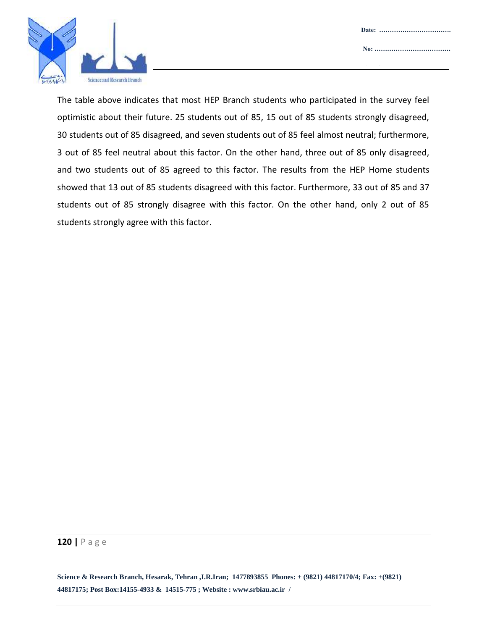

The table above indicates that most HEP Branch students who participated in the survey feel optimistic about their future. 25 students out of 85, 15 out of 85 students strongly disagreed, 30 students out of 85 disagreed, and seven students out of 85 feel almost neutral; furthermore, 3 out of 85 feel neutral about this factor. On the other hand, three out of 85 only disagreed, and two students out of 85 agreed to this factor. The results from the HEP Home students showed that 13 out of 85 students disagreed with this factor. Furthermore, 33 out of 85 and 37 students out of 85 strongly disagree with this factor. On the other hand, only 2 out of 85 students strongly agree with this factor.

#### **120 |** P a g e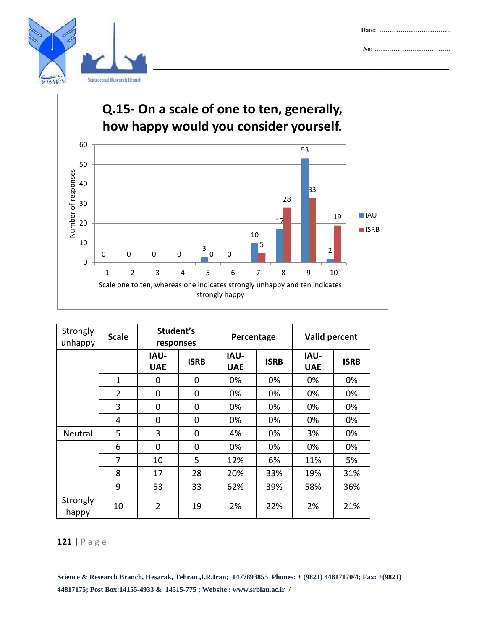

**Date: ……………………………. No: ………………………………**

**Attachment :……………………**



| Strongly<br>unhappy | <b>Scale</b>   | Student's<br>responses    |             | Percentage                |             | Valid percent             |             |
|---------------------|----------------|---------------------------|-------------|---------------------------|-------------|---------------------------|-------------|
|                     |                | <b>IAU-</b><br><b>UAE</b> | <b>ISRB</b> | <b>IAU-</b><br><b>UAE</b> | <b>ISRB</b> | <b>IAU-</b><br><b>UAE</b> | <b>ISRB</b> |
|                     | 1              | 0                         | 0           | 0%                        | 0%          | 0%                        | 0%          |
|                     | $\overline{2}$ | 0                         | 0           | 0%                        | 0%          | 0%                        | 0%          |
|                     | 3              | 0                         | 0           | 0%                        | 0%          | 0%                        | 0%          |
|                     | 4              | 0                         | 0           | 0%                        | 0%          | 0%                        | 0%          |
| Neutral             | 5              | 3                         | 0           | 4%                        | 0%          | 3%                        | 0%          |
|                     | 6              | 0                         | 0           | 0%                        | 0%          | 0%                        | 0%          |
|                     | 7              | 10                        | 5           | 12%                       | 6%          | 11%                       | 5%          |
|                     | 8              | 17                        | 28          | 20%                       | 33%         | 19%                       | 31%         |
|                     | 9              | 53                        | 33          | 62%                       | 39%         | 58%                       | 36%         |
| Strongly<br>happy   | 10             | $\overline{2}$            | 19          | 2%                        | 22%         | 2%                        | 21%         |

## **121 |** P a g e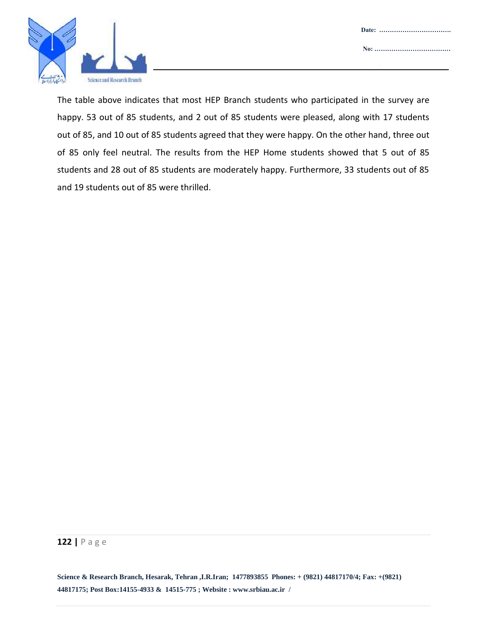

The table above indicates that most HEP Branch students who participated in the survey are happy. 53 out of 85 students, and 2 out of 85 students were pleased, along with 17 students out of 85, and 10 out of 85 students agreed that they were happy. On the other hand, three out of 85 only feel neutral. The results from the HEP Home students showed that 5 out of 85 students and 28 out of 85 students are moderately happy. Furthermore, 33 students out of 85 and 19 students out of 85 were thrilled.

#### **122 |** P a g e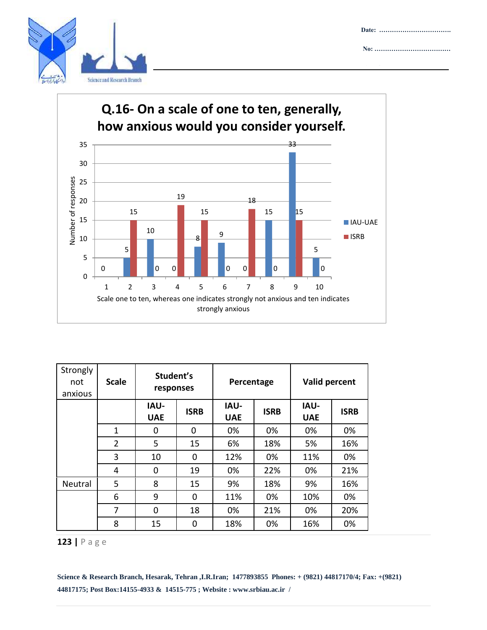





| Strongly<br>not<br>anxious | <b>Scale</b>   | Student's<br>responses    |             | Percentage                |             | Valid percent             |             |
|----------------------------|----------------|---------------------------|-------------|---------------------------|-------------|---------------------------|-------------|
|                            |                | <b>IAU-</b><br><b>UAE</b> | <b>ISRB</b> | <b>IAU-</b><br><b>UAE</b> | <b>ISRB</b> | <b>IAU-</b><br><b>UAE</b> | <b>ISRB</b> |
|                            | 1              | 0                         | $\Omega$    | 0%                        | 0%          | 0%                        | 0%          |
|                            | $\overline{2}$ | 5                         | 15          | 6%                        | 18%         | 5%                        | 16%         |
|                            | 3              | 10                        | $\Omega$    | 12%                       | 0%          | 11%                       | 0%          |
|                            | 4              | $\Omega$                  | 19          | 0%                        | 22%         | 0%                        | 21%         |
| Neutral                    | 5              | 8                         | 15          | 9%                        | 18%         | 9%                        | 16%         |
|                            | 6              | 9                         | $\Omega$    | 11%                       | 0%          | 10%                       | 0%          |
|                            | 7              | $\Omega$                  | 18          | 0%                        | 21%         | 0%                        | 20%         |
|                            | 8              | 15                        | 0           | 18%                       | 0%          | 16%                       | 0%          |

## **|** P a g e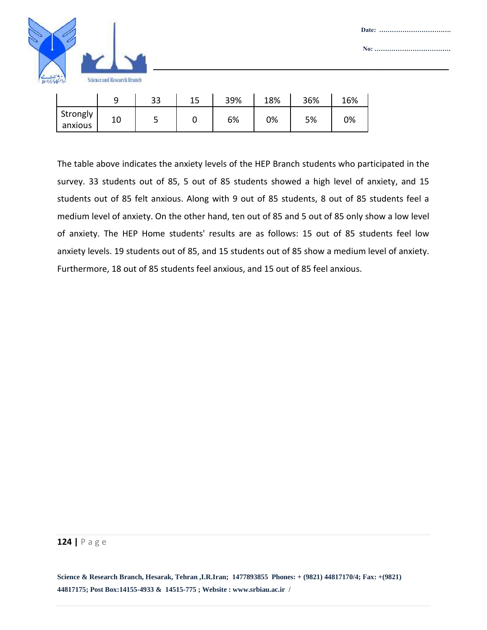

|                     | a  | 33 | 39% | 18% | 36% | 16% |
|---------------------|----|----|-----|-----|-----|-----|
| Strongly<br>anxious | 10 |    | 6%  | 0%  | 5%  | 0%  |

The table above indicates the anxiety levels of the HEP Branch students who participated in the survey. 33 students out of 85, 5 out of 85 students showed a high level of anxiety, and 15 students out of 85 felt anxious. Along with 9 out of 85 students, 8 out of 85 students feel a medium level of anxiety. On the other hand, ten out of 85 and 5 out of 85 only show a low level of anxiety. The HEP Home students' results are as follows: 15 out of 85 students feel low anxiety levels. 19 students out of 85, and 15 students out of 85 show a medium level of anxiety. Furthermore, 18 out of 85 students feel anxious, and 15 out of 85 feel anxious.

#### **124 |** P a g e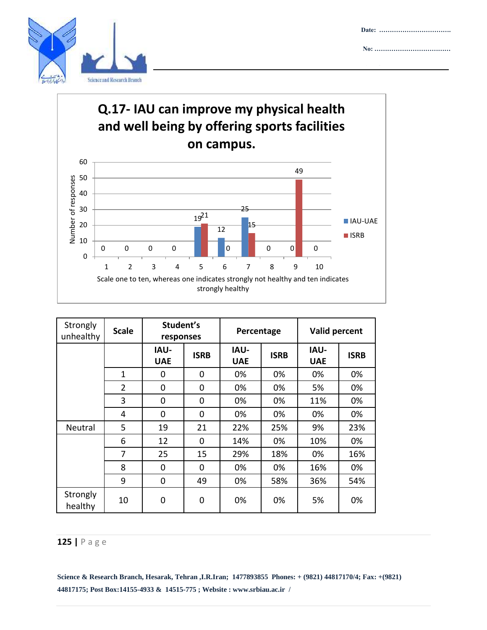





| Strongly<br>unhealthy | <b>Scale</b>   | Student's<br>responses    |             | Percentage                |             | Valid percent             |             |  |
|-----------------------|----------------|---------------------------|-------------|---------------------------|-------------|---------------------------|-------------|--|
|                       |                | <b>IAU-</b><br><b>UAE</b> | <b>ISRB</b> | <b>IAU-</b><br><b>UAE</b> | <b>ISRB</b> | <b>IAU-</b><br><b>UAE</b> | <b>ISRB</b> |  |
|                       | 1              | 0                         | 0           | 0%                        | 0%          | 0%                        | 0%          |  |
|                       | $\overline{2}$ | $\mathbf 0$               | 0           | 0%                        | 0%          | 5%                        | 0%          |  |
|                       | 3              | 0                         | 0           | 0%                        | 0%          | 11%                       | 0%          |  |
|                       | 4              | $\Omega$                  | 0           | 0%                        | 0%          | 0%                        | 0%          |  |
| Neutral               | 5              | 19                        | 21          | 22%                       | 25%         | 9%                        | 23%         |  |
|                       | 6              | 12                        | 0           | 14%                       | 0%          | 10%                       | 0%          |  |
|                       | 7              | 25                        | 15          | 29%                       | 18%         | 0%                        | 16%         |  |
|                       | 8              | $\mathbf 0$               | 0           | 0%                        | 0%          | 16%                       | 0%          |  |
|                       | 9              | $\mathbf 0$               | 49          | 0%                        | 58%         | 36%                       | 54%         |  |
| Strongly<br>healthy   | 10             | 0                         | 0           | 0%                        | 0%          | 5%                        | 0%          |  |

## **125 |** P a g e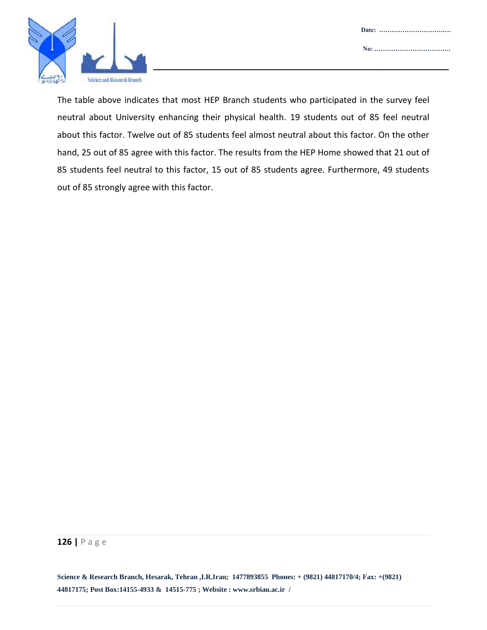

The table above indicates that most HEP Branch students who participated in the survey feel neutral about University enhancing their physical health. 19 students out of 85 feel neutral about this factor. Twelve out of 85 students feel almost neutral about this factor. On the other hand, 25 out of 85 agree with this factor. The results from the HEP Home showed that 21 out of 85 students feel neutral to this factor, 15 out of 85 students agree. Furthermore, 49 students out of 85 strongly agree with this factor.

#### **126 |** P a g e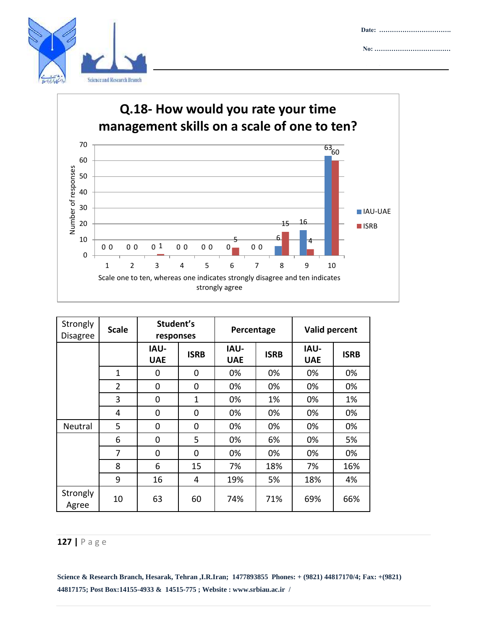





| Strongly<br><b>Disagree</b> | <b>Scale</b>   | Student's<br>responses    |              | Percentage                |             | Valid percent             |             |
|-----------------------------|----------------|---------------------------|--------------|---------------------------|-------------|---------------------------|-------------|
|                             |                | <b>IAU-</b><br><b>UAE</b> | <b>ISRB</b>  | <b>IAU-</b><br><b>UAE</b> | <b>ISRB</b> | <b>IAU-</b><br><b>UAE</b> | <b>ISRB</b> |
|                             | 1              | 0                         | 0            | 0%                        | 0%          | 0%                        | 0%          |
|                             | $\overline{2}$ | 0                         | 0            | 0%                        | 0%          | 0%                        | 0%          |
|                             | 3              | 0                         | $\mathbf{1}$ | 0%                        | 1%          | 0%                        | 1%          |
|                             | 4              | 0                         | $\mathbf 0$  | 0%                        | 0%          | 0%                        | 0%          |
| Neutral                     | 5              | 0                         | 0            | 0%                        | 0%          | 0%                        | 0%          |
|                             | 6              | 0                         | 5            | 0%                        | 6%          | 0%                        | 5%          |
|                             | 7              | 0                         | 0            | 0%                        | 0%          | 0%                        | 0%          |
|                             | 8              | 6                         | 15           | 7%                        | 18%         | 7%                        | 16%         |
|                             | 9              | 16                        | 4            | 19%                       | 5%          | 18%                       | 4%          |
| Strongly<br>Agree           | 10             | 63                        | 60           | 74%                       | 71%         | 69%                       | 66%         |

## **127 |** P a g e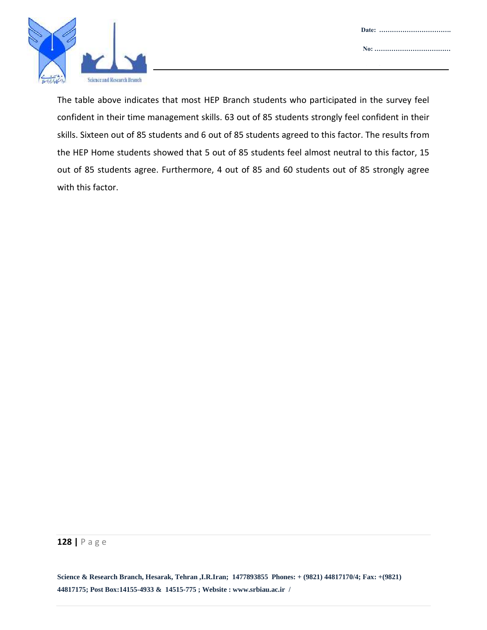



The table above indicates that most HEP Branch students who participated in the survey feel confident in their time management skills. 63 out of 85 students strongly feel confident in their skills. Sixteen out of 85 students and 6 out of 85 students agreed to this factor. The results from the HEP Home students showed that 5 out of 85 students feel almost neutral to this factor, 15 out of 85 students agree. Furthermore, 4 out of 85 and 60 students out of 85 strongly agree with this factor.

#### **128 |** P a g e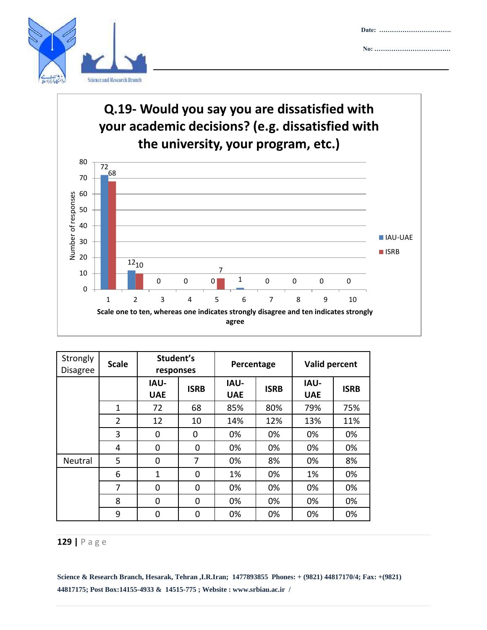



## **Q.19- Would you say you are dissatisfied with your academic decisions? (e.g. dissatisfied with the university, your program, etc.)**



| Strongly<br><b>Disagree</b> | <b>Scale</b>   | Student's<br>responses    |             | Percentage                |             | Valid percent             |             |
|-----------------------------|----------------|---------------------------|-------------|---------------------------|-------------|---------------------------|-------------|
|                             |                | <b>IAU-</b><br><b>UAE</b> | <b>ISRB</b> | <b>IAU-</b><br><b>UAE</b> | <b>ISRB</b> | <b>IAU-</b><br><b>UAE</b> | <b>ISRB</b> |
|                             | $\mathbf{1}$   | 72                        | 68          | 85%                       | 80%         | 79%                       | 75%         |
|                             | $\overline{2}$ | 12                        | 10          | 14%                       | 12%         | 13%                       | 11%         |
|                             | 3              | 0                         | $\Omega$    | 0%                        | 0%          | 0%                        | 0%          |
|                             | 4              | 0                         | $\Omega$    | 0%                        | 0%          | 0%                        | 0%          |
| Neutral                     | 5              | 0                         | 7           | 0%                        | 8%          | 0%                        | 8%          |
|                             | 6              | $\mathbf{1}$              | $\Omega$    | 1%                        | 0%          | 1%                        | 0%          |
|                             | 7              | 0                         | $\Omega$    | 0%                        | 0%          | 0%                        | 0%          |
|                             | 8              | $\Omega$                  | $\Omega$    | 0%                        | 0%          | 0%                        | 0%          |
|                             | 9              | 0                         | 0           | 0%                        | 0%          | 0%                        | 0%          |

#### **129 |** P a g e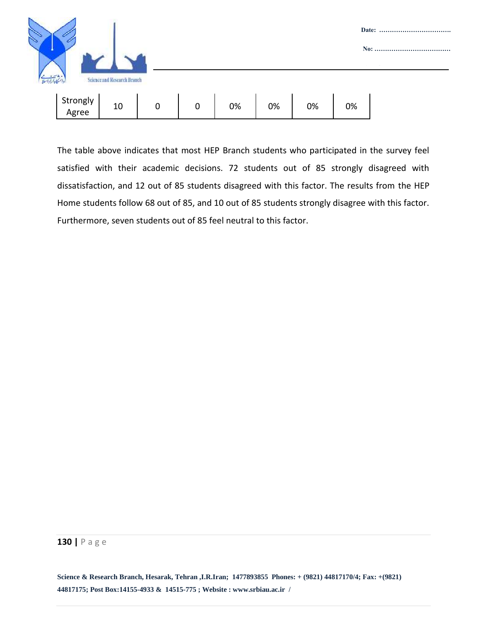

The table above indicates that most HEP Branch students who participated in the survey feel satisfied with their academic decisions. 72 students out of 85 strongly disagreed with dissatisfaction, and 12 out of 85 students disagreed with this factor. The results from the HEP Home students follow 68 out of 85, and 10 out of 85 students strongly disagree with this factor. Furthermore, seven students out of 85 feel neutral to this factor.

#### **130 |** P a g e